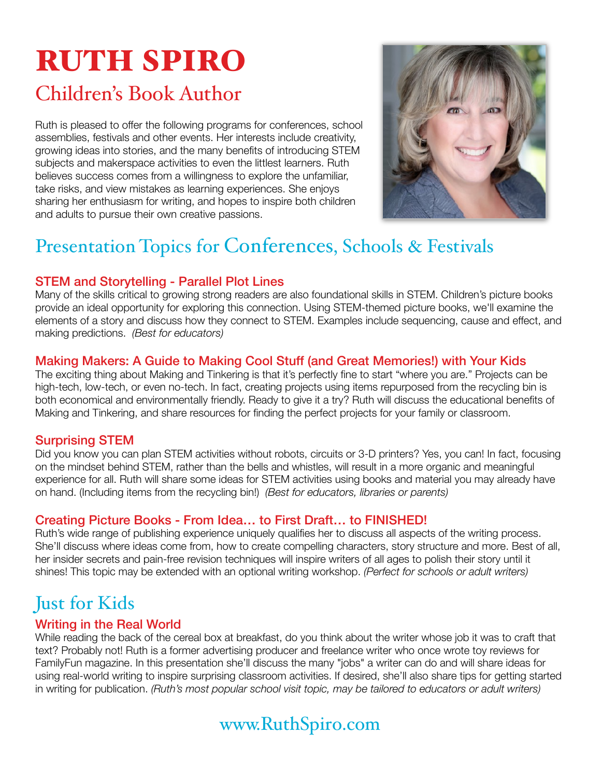# RUTH SPIRO

## Children's Book Author

Ruth is pleased to offer the following programs for conferences, school assemblies, festivals and other events. Her interests include creativity, growing ideas into stories, and the many benefits of introducing STEM subjects and makerspace activities to even the littlest learners. Ruth believes success comes from a willingness to explore the unfamiliar, take risks, and view mistakes as learning experiences. She enjoys sharing her enthusiasm for writing, and hopes to inspire both children and adults to pursue their own creative passions.



# Presentation Topics for Conferences, Schools & Festivals

#### STEM and Storytelling - Parallel Plot Lines

Many of the skills critical to growing strong readers are also foundational skills in STEM. Children's picture books provide an ideal opportunity for exploring this connection. Using STEM-themed picture books, we'll examine the elements of a story and discuss how they connect to STEM. Examples include sequencing, cause and effect, and making predictions. *(Best for educators)*

#### Making Makers: A Guide to Making Cool Stuff (and Great Memories!) with Your Kids

The exciting thing about Making and Tinkering is that it's perfectly fine to start "where you are." Projects can be high-tech, low-tech, or even no-tech. In fact, creating projects using items repurposed from the recycling bin is both economical and environmentally friendly. Ready to give it a try? Ruth will discuss the educational benefits of Making and Tinkering, and share resources for finding the perfect projects for your family or classroom.

#### Surprising STEM

Did you know you can plan STEM activities without robots, circuits or 3-D printers? Yes, you can! In fact, focusing on the mindset behind STEM, rather than the bells and whistles, will result in a more organic and meaningful experience for all. Ruth will share some ideas for STEM activities using books and material you may already have on hand. (Including items from the recycling bin!) *(Best for educators, libraries or parents)*

#### Creating Picture Books - From Idea… to First Draft… to FINISHED!

Ruth's wide range of publishing experience uniquely qualifies her to discuss all aspects of the writing process. She'll discuss where ideas come from, how to create compelling characters, story structure and more. Best of all, her insider secrets and pain-free revision techniques will inspire writers of all ages to polish their story until it shines! This topic may be extended with an optional writing workshop. *(Perfect for schools or adult writers)*

## Just for Kids

#### Writing in the Real World

While reading the back of the cereal box at breakfast, do you think about the writer whose job it was to craft that text? Probably not! Ruth is a former advertising producer and freelance writer who once wrote toy reviews for FamilyFun magazine. In this presentation she'll discuss the many "jobs" a writer can do and will share ideas for using real-world writing to inspire surprising classroom activities. If desired, she'll also share tips for getting started in writing for publication. *(Ruth's most popular school visit topic, may be tailored to educators or adult writers)* 

## www.RuthSpiro.com